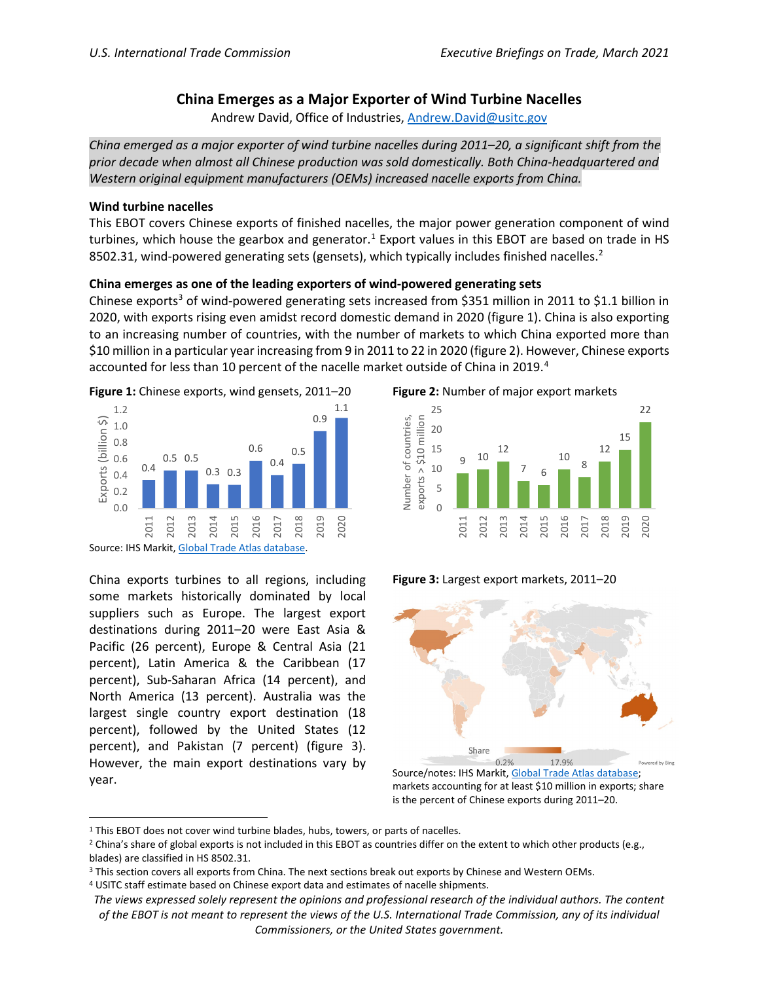# **China Emerges as a Major Exporter of Wind Turbine Nacelles**

Andrew David, Office of Industries, [Andrew.David@usitc.gov](mailto:Andrew.David@usitc.gov)

*China emerged as a major exporter of wind turbine nacelles during 2011–20, a significant shift from the prior decade when almost all Chinese production was sold domestically. Both China-headquartered and Western original equipment manufacturers (OEMs) increased nacelle exports from China.*

### **Wind turbine nacelles**

This EBOT covers Chinese exports of finished nacelles, the major power generation component of wind turbines, which house the gearbox and generator.<sup>[1](#page-0-0)</sup> Export values in this EBOT are based on trade in HS 850[2](#page-0-1).31, wind-powered generating sets (gensets), which typically includes finished nacelles.<sup>2</sup>

## **China emerges as one of the leading exporters of wind-powered generating sets**

Chinese exports<sup>[3](#page-0-2)</sup> of wind-powered generating sets increased from \$351 million in 2011 to \$1.1 billion in 2020, with exports rising even amidst record domestic demand in 2020 (figure 1). China is also exporting to an increasing number of countries, with the number of markets to which China exported more than \$10 million in a particular year increasing from 9 in 2011 to 22 in 2020 (figure 2). However, Chinese exports accounted for less than 10 percent of the nacelle market outside of China in 2019.<sup>[4](#page-0-3)</sup>





China exports turbines to all regions, including some markets historically dominated by local suppliers such as Europe. The largest export destinations during 2011–20 were East Asia & Pacific (26 percent), Europe & Central Asia (21 percent), Latin America & the Caribbean (17 percent), Sub-Saharan Africa (14 percent), and North America (13 percent). Australia was the largest single country export destination (18 percent), followed by the United States (12 percent), and Pakistan (7 percent) (figure 3). However, the main export destinations vary by year.

**Figure 2:** Number of major export markets



**Figure 3:** Largest export markets, 2011–20



Source/notes: IHS Markit, [Global Trade Atlas database;](https://connect.ihsmarkit.com/) markets accounting for at least \$10 million in exports; share is the percent of Chinese exports during 2011–20.

<span id="page-0-0"></span><sup>&</sup>lt;sup>1</sup> This EBOT does not cover wind turbine blades, hubs, towers, or parts of nacelles.

<span id="page-0-1"></span> $2$  China's share of global exports is not included in this EBOT as countries differ on the extent to which other products (e.g., blades) are classified in HS 8502.31.

<span id="page-0-2"></span><sup>&</sup>lt;sup>3</sup> This section covers all exports from China. The next sections break out exports by Chinese and Western OEMs.

<span id="page-0-3"></span><sup>4</sup> USITC staff estimate based on Chinese export data and estimates of nacelle shipments.

*The views expressed solely represent the opinions and professional research of the individual authors. The content of the EBOT is not meant to represent the views of the U.S. International Trade Commission, any of its individual Commissioners, or the United States government.*